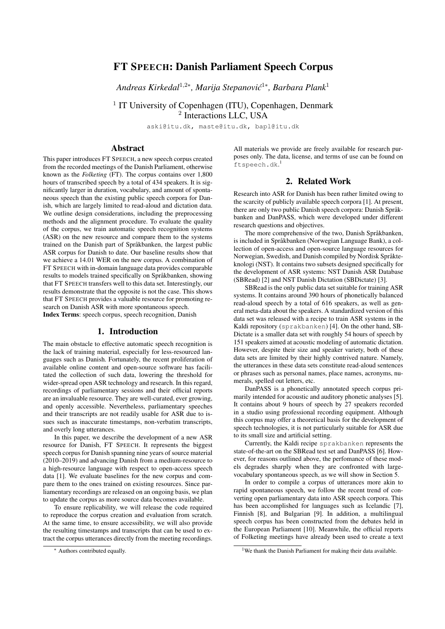# FT SPEECH: Danish Parliament Speech Corpus

Andreas Kirkedal<sup>1,2</sup>\*, Marija Stepanović<sup>1</sup>\*, Barbara Plank<sup>1</sup>

<sup>1</sup> IT University of Copenhagen (ITU), Copenhagen, Denmark <sup>2</sup> Interactions LLC, USA

aski@itu.dk, maste@itu.dk, bapl@itu.dk

### Abstract

This paper introduces FT SPEECH, a new speech corpus created from the recorded meetings of the Danish Parliament, otherwise known as the *Folketing* (FT). The corpus contains over 1,800 hours of transcribed speech by a total of 434 speakers. It is significantly larger in duration, vocabulary, and amount of spontaneous speech than the existing public speech corpora for Danish, which are largely limited to read-aloud and dictation data. We outline design considerations, including the preprocessing methods and the alignment procedure. To evaluate the quality of the corpus, we train automatic speech recognition systems (ASR) on the new resource and compare them to the systems trained on the Danish part of Språkbanken, the largest public ASR corpus for Danish to date. Our baseline results show that we achieve a 14.01 WER on the new corpus. A combination of FT SPEECH with in-domain language data provides comparable results to models trained specifically on Språkbanken, showing that FT SPEECH transfers well to this data set. Interestingly, our results demonstrate that the opposite is not the case. This shows that FT SPEECH provides a valuable resource for promoting research on Danish ASR with more spontaneous speech. Index Terms: speech corpus, speech recognition, Danish

### 1. Introduction

The main obstacle to effective automatic speech recognition is the lack of training material, especially for less-resourced languages such as Danish. Fortunately, the recent proliferation of available online content and open-source software has facilitated the collection of such data, lowering the threshold for wider-spread open ASR technology and research. In this regard, recordings of parliamentary sessions and their official reports are an invaluable resource. They are well-curated, ever growing, and openly accessible. Nevertheless, parliamentary speeches and their transcripts are not readily usable for ASR due to issues such as inaccurate timestamps, non-verbatim transcripts, and overly long utterances.

In this paper, we describe the development of a new ASR resource for Danish, FT SPEECH. It represents the biggest speech corpus for Danish spanning nine years of source material (2010–2019) and advancing Danish from a medium-resource to a high-resource language with respect to open-access speech data [1]. We evaluate baselines for the new corpus and compare them to the ones trained on existing resources. Since parliamentary recordings are released on an ongoing basis, we plan to update the corpus as more source data becomes available.

To ensure replicability, we will release the code required to reproduce the corpus creation and evaluation from scratch. At the same time, to ensure accessibility, we will also provide the resulting timestamps and transcripts that can be used to extract the corpus utterances directly from the meeting recordings. All materials we provide are freely available for research purposes only. The data, license, and terms of use can be found on ftspeech.dk. 1

### 2. Related Work

Research into ASR for Danish has been rather limited owing to the scarcity of publicly available speech corpora [1]. At present, there are only two public Danish speech corpora: Danish Språkbanken and DanPASS, which were developed under different research questions and objectives.

The more comprehensive of the two, Danish Språkbanken, is included in Språkbanken (Norwegian Language Bank), a collection of open-access and open-source language resources for Norwegian, Swedish, and Danish compiled by Nordisk Språkteknologi (NST). It contains two subsets designed specifically for the development of ASR systems: NST Danish ASR Database (SBRead) [2] and NST Danish Dictation (SBDictate) [3].

SBRead is the only public data set suitable for training ASR systems. It contains around 390 hours of phonetically balanced read-aloud speech by a total of 616 speakers, as well as general meta-data about the speakers. A standardized version of this data set was released with a recipe to train ASR systems in the Kaldi repository (sprakbanken) [4]. On the other hand, SB-Dictate is a smaller data set with roughly 54 hours of speech by 151 speakers aimed at acoustic modeling of automatic dictation. However, despite their size and speaker variety, both of these data sets are limited by their highly contrived nature. Namely, the utterances in these data sets constitute read-aloud sentences or phrases such as personal names, place names, acronyms, numerals, spelled out letters, etc.

DanPASS is a phonetically annotated speech corpus primarily intended for acoustic and auditory phonetic analyses [5]. It contains about 9 hours of speech by 27 speakers recorded in a studio using professional recording equipment. Although this corpus may offer a theoretical basis for the development of speech technologies, it is not particularly suitable for ASR due to its small size and artificial setting.

Currently, the Kaldi recipe sprakbanken represents the state-of-the-art on the SBRead test set and DanPASS [6]. However, for reasons outlined above, the perfomance of these models degrades sharply when they are confronted with largevocabulary spontaneous speech, as we will show in Section 5.

In order to compile a corpus of utterances more akin to rapid spontaneous speech, we follow the recent trend of converting open parliamentary data into ASR speech corpora. This has been accomplished for languages such as Icelandic [7], Finnish [8], and Bulgarian [9]. In addition, a multilingual speech corpus has been constructed from the debates held in the European Parliament [10]. Meanwhile, the official reports of Folketing meetings have already been used to create a text

<sup>∗</sup> Authors contributed equally.

<sup>&</sup>lt;sup>1</sup>We thank the Danish Parliament for making their data available.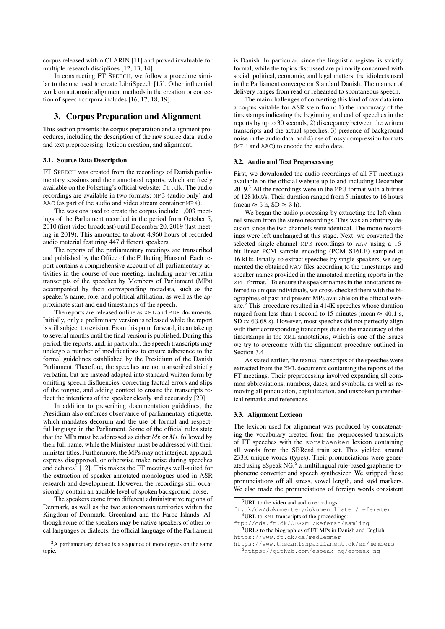corpus released within CLARIN [11] and proved invaluable for multiple research disciplines [12, 13, 14].

In constructing FT SPEECH, we follow a procedure similar to the one used to create LibriSpeech [15]. Other influential work on automatic alignment methods in the creation or correction of speech corpora includes [16, 17, 18, 19].

## 3. Corpus Preparation and Alignment

This section presents the corpus preparation and alignment procedures, including the description of the raw source data, audio and text preprocessing, lexicon creation, and alignment.

#### 3.1. Source Data Description

FT SPEECH was created from the recordings of Danish parliamentary sessions and their annotated reports, which are freely available on the Folketing's official website:  $ft$ .dk. The audio recordings are available in two formats: MP3 (audio only) and AAC (as part of the audio and video stream container MP4).

The sessions used to create the corpus include 1,003 meetings of the Parliament recorded in the period from October 5, 2010 (first video broadcast) until December 20, 2019 (last meeting in 2019). This amounted to about 4,960 hours of recorded audio material featuring 447 different speakers.

The reports of the parliamentary meetings are transcribed and published by the Office of the Folketing Hansard. Each report contains a comprehensive account of all parliamentary activities in the course of one meeting, including near-verbatim transcripts of the speeches by Members of Parliament (MPs) accompanied by their corresponding metadata, such as the speaker's name, role, and political affiliation, as well as the approximate start and end timestamps of the speech.

The reports are released online as XML and PDF documents. Initially, only a preliminary version is released while the report is still subject to revision. From this point forward, it can take up to several months until the final version is published. During this period, the reports, and, in particular, the speech transcripts may undergo a number of modifications to ensure adherence to the formal guidelines established by the Presidium of the Danish Parliament. Therefore, the speeches are not transcribed strictly verbatim, but are instead adapted into standard written form by omitting speech disfluencies, correcting factual errors and slips of the tongue, and adding context to ensure the transcripts reflect the intentions of the speaker clearly and accurately [20].

In addition to prescribing documentation guidelines, the Presidium also enforces observance of parliamentary etiquette, which mandates decorum and the use of formal and respectful language in the Parliament. Some of the official rules state that the MPs must be addressed as either *Mr.* or *Ms.* followed by their full name, while the Ministers must be addressed with their minister titles. Furthermore, the MPs may not interject, applaud, express disapproval, or otherwise make noise during speeches and debates $2$  [12]. This makes the FT meetings well-suited for the extraction of speaker-annotated monologues used in ASR research and development. However, the recordings still occasionally contain an audible level of spoken background noise.

The speakers come from different administrative regions of Denmark, as well as the two autonomous territories within the Kingdom of Denmark: Greenland and the Faroe Islands. Although some of the speakers may be native speakers of other local languages or dialects, the official language of the Parliament is Danish. In particular, since the linguistic register is strictly formal, while the topics discussed are primarily concerned with social, political, economic, and legal matters, the idiolects used in the Parliament converge on Standard Danish. The manner of delivery ranges from read or rehearsed to spontaneous speech.

The main challenges of converting this kind of raw data into a corpus suitable for ASR stem from: 1) the inaccuracy of the timestamps indicating the beginning and end of speeches in the reports by up to 30 seconds, 2) discrepancy between the written transcripts and the actual speeches, 3) presence of background noise in the audio data, and 4) use of lossy compression formats (MP3 and AAC) to encode the audio data.

#### 3.2. Audio and Text Preprocessing

First, we downloaded the audio recordings of all FT meetings available on the official website up to and including December  $2019<sup>3</sup>$  All the recordings were in the MP3 format with a bitrate of 128 kbit/s. Their duration ranged from 5 minutes to 16 hours (mean  $\approx$  5 h, SD  $\approx$  3 h).

We began the audio processing by extracting the left channel stream from the stereo recordings. This was an arbitrary decision since the two channels were identical. The mono recordings were left unchanged at this stage. Next, we converted the selected single-channel MP3 recordings to WAV using a 16 bit linear PCM sample encoding (PCM\_S16LE) sampled at 16 kHz. Finally, to extract speeches by single speakers, we segmented the obtained WAV files according to the timestamps and speaker names provided in the annotated meeting reports in the XML format.<sup>4</sup> To ensure the speaker names in the annotations referred to unique individuals, we cross-checked them with the biographies of past and present MPs available on the official website. $5$  This procedure resulted in 414K speeches whose duration ranged from less than 1 second to 15 minutes (mean  $\approx 40.1$  s,  $SD \approx 63.68$  s). However, most speeches did not perfectly align with their corresponding transcripts due to the inaccuracy of the timestamps in the XML annotations, which is one of the issues we try to overcome with the alignment procedure outlined in Section 3.4

As stated earlier, the textual transcripts of the speeches were extracted from the XML documents containing the reports of the FT meetings. Their preprocessing involved expanding all common abbreviations, numbers, dates, and symbols, as well as removing all punctuation, capitalization, and unspoken parenthetical remarks and references.

#### 3.3. Alignment Lexicon

The lexicon used for alignment was produced by concatenating the vocabulary created from the preprocessed transcripts of FT speeches with the sprakbanken lexicon containing all words from the SBRead train set. This yielded around 233K unique words (types). Their pronunciations were generated using eSpeak NG,<sup>6</sup> a multilingual rule-based grapheme-tophoneme converter and speech synthesizer. We stripped these pronunciations off all stress, vowel length, and stød markers. We also made the pronunciations of foreign words consistent

<sup>5</sup>URLs to the biographies of FT MPs in Danish and English: https://www.ft.dk/da/medlemmer

https://www.thedanishparliament.dk/en/members

<sup>6</sup>https://github.com/espeak-ng/espeak-ng

<sup>&</sup>lt;sup>2</sup>A parliamentary debate is a sequence of monologues on the same topic.

<sup>3</sup>URL to the video and audio recordings:

ft.dk/da/dokumenter/dokumentlister/referater <sup>4</sup>URL to XML transcripts of the proceedings:

ftp://oda.ft.dk/ODAXML/Referat/samling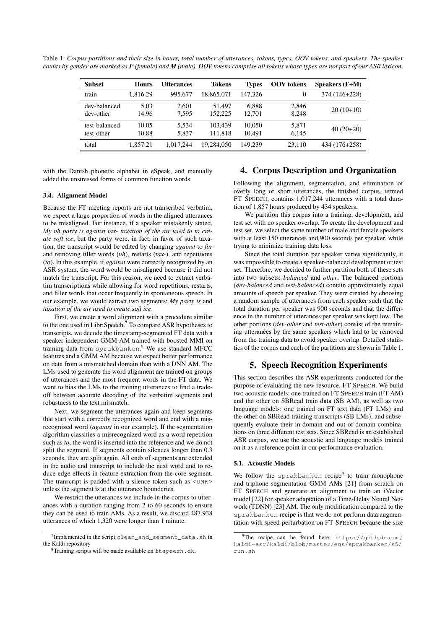Table 1: *Corpus partitions and their size in hours, total number of utterances, tokens, types, OOV tokens, and speakers. The speaker counts by gender are marked as F (female) and M (male). OOV tokens comprise all tokens whose types are not part of our ASR lexicon.*

| <b>Subset</b>               | <b>Hours</b>   | Utterances     | <b>Tokens</b>      | <b>Types</b>     | <b>OOV</b> tokens | Speakers $(F+M)$ |
|-----------------------------|----------------|----------------|--------------------|------------------|-------------------|------------------|
| train                       | 1.816.29       | 995,677        | 18.865.071         | 147.326          | 0                 | 374 (146+228)    |
| dev-balanced<br>dev-other   | 5.03<br>14.96  | 2.601<br>7.595 | 51.497<br>152.225  | 6.888<br>12.701  | 2,846<br>8.248    | $20(10+10)$      |
| test-balanced<br>test-other | 10.05<br>10.88 | 5.534<br>5.837 | 103.439<br>111.818 | 10.050<br>10.491 | 5,871<br>6,145    | $40(20+20)$      |
| total                       | 1.857.21       | 1.017.244      | 19.284,050         | 149.239          | 23.110            | 434 (176+258)    |

with the Danish phonetic alphabet in eSpeak, and manually added the unstressed forms of common function words.

### 3.4. Alignment Model

Because the FT meeting reports are not transcribed verbatim, we expect a large proportion of words in the aligned utterances to be misaligned. For instance, if a speaker mistakenly stated, *My uh party is against tax- taxation of the air used to to create soft ice*, but the party were, in fact, in favor of such taxation, the transcript would be edited by changing *against* to *for* and removing filler words (*uh*), restarts (*tax-*), and repetitions (*to*). In this example, if *against* were correctly recognized by an ASR system, the word would be misaligned because it did not match the transcript. For this reason, we need to extract verbatim transcriptions while allowing for word repetitions, restarts, and filler words that occur frequently in spontaneous speech. In our example, we would extract two segments: *My party is* and *taxation of the air used to create soft ice*.

First, we create a word alignment with a procedure similar to the one used in LibriSpeech.<sup>7</sup> To compare ASR hypotheses to transcripts, we decode the timestamp-segmented FT data with a speaker-independent GMM AM trained with boosted MMI on training data from sprakbanken. <sup>8</sup> We use standard MFCC features and a GMM AM because we expect better performance on data from a mismatched domain than with a DNN AM. The LMs used to generate the word alignment are trained on groups of utterances and the most frequent words in the FT data. We want to bias the LMs to the training utterances to find a tradeoff between accurate decoding of the verbatim segments and robustness to the text mismatch.

Next, we segment the utterances again and keep segments that start with a correctly recognized word and end with a misrecognized word (*against* in our example). If the segmentation algorithm classifies a misrecognized word as a word repetition such as *to*, the word is inserted into the reference and we do not split the segment. If segments contain silences longer than 0.3 seconds, they are split again. All ends of segments are extended in the audio and transcript to include the next word and to reduce edge effects in feature extraction from the core segment. The transcript is padded with a silence token such as  $\langle UNK \rangle$ unless the segment is at the utterance boundaries.

We restrict the utterances we include in the corpus to utterances with a duration ranging from 2 to 60 seconds to ensure they can be used to train AMs. As a result, we discard 487,938 utterances of which 1,320 were longer than 1 minute.

## 4. Corpus Description and Organization

Following the alignment, segmentation, and elimination of overly long or short utterances, the finished corpus, termed FT SPEECH, contains 1,017,244 utterances with a total duration of 1,857 hours produced by 434 speakers.

We partition this corpus into a training, development, and test set with no speaker overlap. To create the development and test set, we select the same number of male and female speakers with at least 150 utterances and 900 seconds per speaker, while trying to minimize training data loss.

Since the total duration per speaker varies significantly, it was impossible to create a speaker-balanced development or test set. Therefore, we decided to further partition both of these sets into two subsets: *balanced* and *other*. The balanced portions (*dev-balanced* and *test-balanced*) contain approximately equal amounts of speech per speaker. They were created by choosing a random sample of utterances from each speaker such that the total duration per speaker was 900 seconds and that the difference in the number of utterances per speaker was kept low. The other portions (*dev-other* and *test-other*) consist of the remaining utterances by the same speakers which had to be removed from the training data to avoid speaker overlap. Detailed statistics of the corpus and each of the partitions are shown in Table 1.

### 5. Speech Recognition Experiments

This section describes the ASR experiments conducted for the purpose of evaluating the new resource, FT SPEECH. We build two acoustic models: one trained on FT SPEECH train (FT AM) and the other on SBRead train data (SB AM), as well as two language models: one trained on FT text data (FT LMs) and the other on SBRead training transcripts (SB LMs), and subsequently evaluate their in-domain and out-of-domain combinations on three different test sets. Since SBRead is an established ASR corpus, we use the acoustic and language models trained on it as a reference point in our performance evaluation.

#### 5.1. Acoustic Models

We follow the sprakbanken recipe $9$  to train monophone and triphone segmentation GMM AMs [21] from scratch on FT SPEECH and generate an alignment to train an iVector model [22] for speaker adaptation of a Time-Delay Neural Network (TDNN) [23] AM. The only modification compared to the sprakbanken recipe is that we do not perform data augmentation with speed-perturbation on FT SPEECH because the size

<sup>&</sup>lt;sup>7</sup>Implemented in the script clean\_and\_segment\_data.sh in the Kaldi repository

<sup>&</sup>lt;sup>8</sup>Training scripts will be made available on ftspeech.dk.

<sup>&</sup>lt;sup>9</sup>The recipe can be found here: https://github.com/ kaldi-asr/kaldi/blob/master/egs/sprakbanken/s5/ run.sh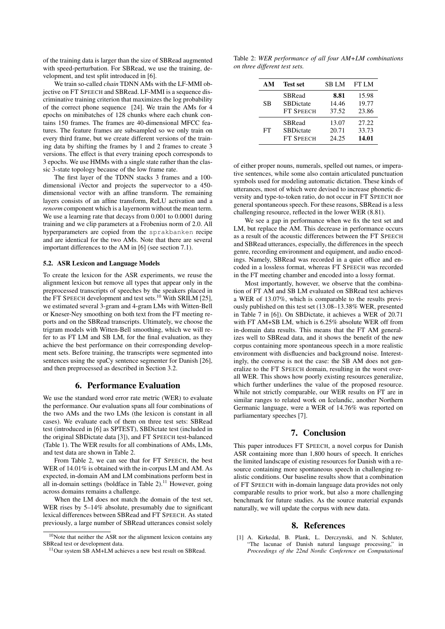of the training data is larger than the size of SBRead augmented with speed-perturbation. For SBRead, we use the training, development, and test split introduced in [6].

We train so-called *chain* TDNN AMs with the LF-MMI objective on FT SPEECH and SBRead. LF-MMI is a sequence discriminative training criterion that maximizes the log probability of the correct phone sequence [24]. We train the AMs for 4 epochs on minibatches of 128 chunks where each chunk contains 150 frames. The frames are 40-dimensional MFCC features. The feature frames are subsampled so we only train on every third frame, but we create different versions of the training data by shifting the frames by 1 and 2 frames to create 3 versions. The effect is that every training epoch corresponds to 3 epochs. We use HMMs with a single state rather than the classic 3-state topology because of the low frame rate.

The first layer of the TDNN stacks 3 frames and a 100 dimensional iVector and projects the supervector to a 450 dimensional vector with an affine transform. The remaining layers consists of an affine transform, ReLU activation and a *renorm* component which is a layernorm without the mean term. We use a learning rate that decays from 0.001 to 0.0001 during training and we clip parameters at a Frobenius norm of 2.0. All hyperparameters are copied from the sprakbanken recipe and are identical for the two AMs. Note that there are several important differences to the AM in [6] (see section 7.1).

#### 5.2. ASR Lexicon and Language Models

To create the lexicon for the ASR experiments, we reuse the alignment lexicon but remove all types that appear only in the preprocessed transcripts of speeches by the speakers placed in the FT SPEECH development and test sets.<sup>10</sup> With SRILM [25], we estimated several 3-gram and 4-gram LMs with Witten-Bell or Kneser-Ney smoothing on both text from the FT meeting reports and on the SBRead transcripts. Ultimately, we choose the trigram models with Witten-Bell smoothing, which we will refer to as FT LM and SB LM, for the final evaluation, as they achieve the best performance on their corresponding development sets. Before training, the transcripts were segmented into sentences using the spaCy sentence segmenter for Danish [26], and then preprocessed as described in Section 3.2.

## 6. Performance Evaluation

We use the standard word error rate metric (WER) to evaluate the performance. Our evaluation spans all four combinations of the two AMs and the two LMs (the lexicon is constant in all cases). We evaluate each of them on three test sets: SBRead test (introduced in [6] as SPTEST), SBDictate test (included in the original SBDictate data [3]), and FT SPEECH test-balanced (Table 1). The WER results for all combinations of AMs, LMs, and test data are shown in Table 2.

From Table 2, we can see that for FT SPEECH, the best WER of 14.01% is obtained with the in-corpus LM and AM. As expected, in-domain AM and LM combinations perform best in all in-domain settings (boldface in Table 2).<sup>11</sup> However, going across domains remains a challenge.

When the LM does not match the domain of the test set, WER rises by 5–14% absolute, presumably due to significant lexical differences between SBRead and FT SPEECH. As stated previously, a large number of SBRead utterances consist solely

Table 2: *WER performance of all four AM+LM combinations on three different test sets.*

| AM | <b>Test set</b>   | <b>SBLM</b> | <b>FT LM</b> |
|----|-------------------|-------------|--------------|
| SB | <b>SBRead</b>     | 8.81        | 15.98        |
|    | <b>SBDictate</b>  | 14.46       | 19.77        |
|    | FT SPEECH         | 37.52       | 23.86        |
| FT | <b>SBRead</b>     | 13.07       | 27.22        |
|    | <b>SBD</b> ictate | 20.71       | 33.73        |
|    | <b>FT SPEECH</b>  | 24.25       | 14.01        |

of either proper nouns, numerals, spelled out names, or imperative sentences, while some also contain articulated punctuation symbols used for modeling automatic dictation. These kinds of utterances, most of which were devised to increase phonetic diversity and type-to-token ratio, do not occur in FT SPEECH nor general spontaneous speech. For these reasons, SBRead is a less challenging resource, reflected in the lower WER (8.81).

We see a gap in performance when we fix the test set and LM, but replace the AM. This decrease in performance occurs as a result of the acoustic differences between the FT SPEECH and SBRead utterances, especially, the differences in the speech genre, recording environment and equipment, and audio encodings. Namely, SBRead was recorded in a quiet office and encoded in a lossless format, whereas FT SPEECH was recorded in the FT meeting chamber and encoded into a lossy format.

Most importantly, however, we observe that the combination of FT AM and SB LM evaluated on SBRead test achieves a WER of 13.07%, which is comparable to the results previously published on this test set (13.08–13.38% WER, presented in Table 7 in [6]). On SBDictate, it achieves a WER of 20.71 with FT AM+SB LM, which is 6.25% absolute WER off from in-domain data results. This means that the FT AM generalizes well to SBRead data, and it shows the benefit of the new corpus containing more spontaneous speech in a more realistic environment with disfluencies and background noise. Interestingly, the converse is not the case: the SB AM does not generalize to the FT SPEECH domain, resulting in the worst overall WER. This shows how poorly existing resources generalize, which further underlines the value of the proposed resource. While not strictly comparable, our WER results on FT are in similar ranges to related work on Icelandic, another Northern Germanic language, were a WER of 14.76% was reported on parliamentary speeches [7].

### 7. Conclusion

This paper introduces FT SPEECH, a novel corpus for Danish ASR containing more than 1,800 hours of speech. It enriches the limited landscape of existing resources for Danish with a resource containing more spontaneous speech in challenging realistic conditions. Our baseline results show that a combination of FT SPEECH with in-domain language data provides not only comparable results to prior work, but also a more challenging benchmark for future studies. As the source material expands naturally, we will update the corpus with new data.

#### 8. References

[1] A. Kirkedal, B. Plank, L. Derczynski, and N. Schluter, "The lacunae of Danish natural language processing," in *Proceedings of the 22nd Nordic Conference on Computational*

<sup>10</sup>Note that neither the ASR nor the alignment lexicon contains any SBRead test or development data.

<sup>11</sup>Our system SB AM+LM achieves a new best result on SBRead.